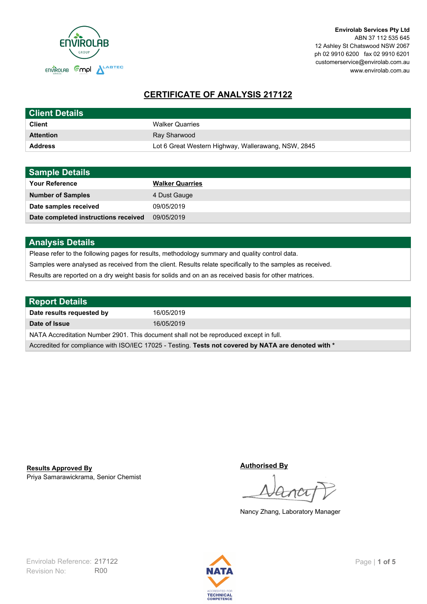

# **CERTIFICATE OF ANALYSIS 217122**

| <b>Client Details</b> |                                                     |
|-----------------------|-----------------------------------------------------|
| <b>Client</b>         | <b>Walker Quarries</b>                              |
| <b>Attention</b>      | Ray Sharwood                                        |
| <b>Address</b>        | Lot 6 Great Western Highway, Wallerawang, NSW, 2845 |

| <b>Sample Details</b>                |                        |
|--------------------------------------|------------------------|
| <b>Your Reference</b>                | <b>Walker Quarries</b> |
| <b>Number of Samples</b>             | 4 Dust Gauge           |
| Date samples received                | 09/05/2019             |
| Date completed instructions received | 09/05/2019             |

## **Analysis Details**

Please refer to the following pages for results, methodology summary and quality control data.

Samples were analysed as received from the client. Results relate specifically to the samples as received.

Results are reported on a dry weight basis for solids and on an as received basis for other matrices.

| <b>Report Details</b>                                                                                |            |  |
|------------------------------------------------------------------------------------------------------|------------|--|
| Date results requested by                                                                            | 16/05/2019 |  |
| Date of Issue                                                                                        | 16/05/2019 |  |
| NATA Accreditation Number 2901. This document shall not be reproduced except in full.                |            |  |
| Accredited for compliance with ISO/IEC 17025 - Testing. Tests not covered by NATA are denoted with * |            |  |

Priya Samarawickrama, Senior Chemist **Results Approved By**

**Authorised By**

Nancy Zhang, Laboratory Manager

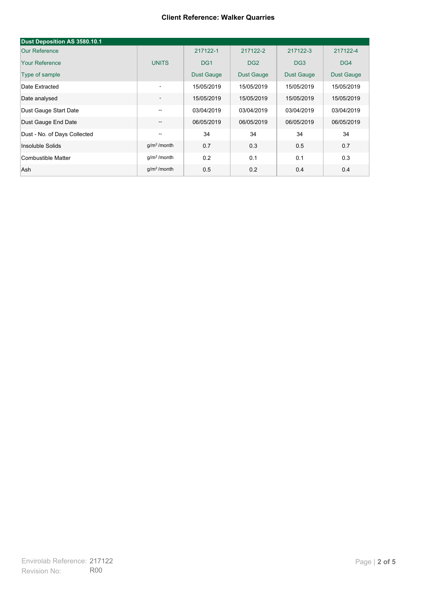#### **Client Reference: Walker Quarries**

| Dust Deposition AS 3580.10.1 |                   |                   |                 |                 |            |
|------------------------------|-------------------|-------------------|-----------------|-----------------|------------|
| Our Reference                |                   | 217122-1          | 217122-2        | 217122-3        | 217122-4   |
| <b>Your Reference</b>        | <b>UNITS</b>      | DG <sub>1</sub>   | DG <sub>2</sub> | DG <sub>3</sub> | DG4        |
| Type of sample               |                   | <b>Dust Gauge</b> | Dust Gauge      | Dust Gauge      | Dust Gauge |
| Date Extracted               | ٠                 | 15/05/2019        | 15/05/2019      | 15/05/2019      | 15/05/2019 |
| Date analysed                | ٠                 | 15/05/2019        | 15/05/2019      | 15/05/2019      | 15/05/2019 |
| Dust Gauge Start Date        | --                | 03/04/2019        | 03/04/2019      | 03/04/2019      | 03/04/2019 |
| Dust Gauge End Date          | $\qquad \qquad -$ | 06/05/2019        | 06/05/2019      | 06/05/2019      | 06/05/2019 |
| Dust - No. of Days Collected | --                | 34                | 34              | 34              | 34         |
| Insoluble Solids             | $g/m2$ /month     | 0.7               | 0.3             | 0.5             | 0.7        |
| Combustible Matter           | $q/m2$ /month     | 0.2               | 0.1             | 0.1             | 0.3        |
| Ash                          | $g/m2$ /month     | 0.5               | 0.2             | 0.4             | 0.4        |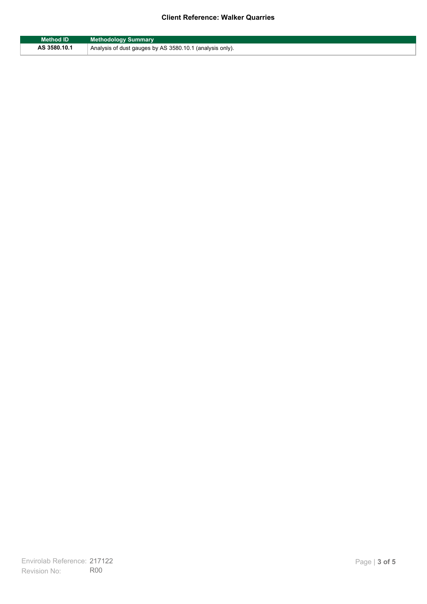### **Client Reference: Walker Quarries**

| Method ID    | <b>Methodology Summary</b>                               |
|--------------|----------------------------------------------------------|
| AS 3580.10.1 | Analysis of dust gauges by AS 3580.10.1 (analysis only). |

F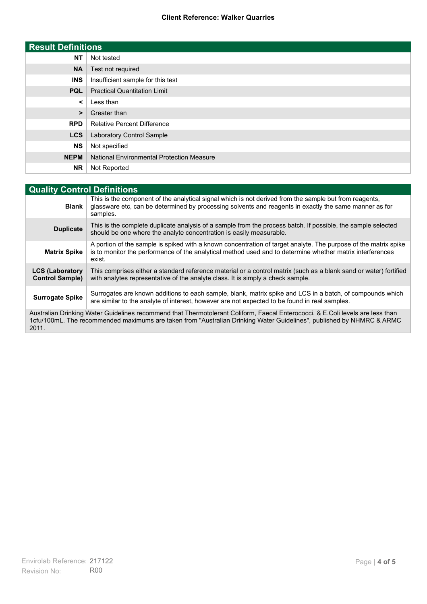### **Client Reference: Walker Quarries**

| <b>Result Definitions</b> |                                                  |
|---------------------------|--------------------------------------------------|
| <b>NT</b>                 | Not tested                                       |
| <b>NA</b>                 | Test not required                                |
| <b>INS</b>                | Insufficient sample for this test                |
| <b>PQL</b>                | <b>Practical Quantitation Limit</b>              |
| ≺                         | Less than                                        |
| >                         | Greater than                                     |
| <b>RPD</b>                | <b>Relative Percent Difference</b>               |
| <b>LCS</b>                | Laboratory Control Sample                        |
| <b>NS</b>                 | Not specified                                    |
| <b>NEPM</b>               | <b>National Environmental Protection Measure</b> |
| <b>NR</b>                 | Not Reported                                     |

| <b>Quality Control Definitions</b>                                                                                                                                                                                                                      |                                                                                                                                                                                                                                        |  |
|---------------------------------------------------------------------------------------------------------------------------------------------------------------------------------------------------------------------------------------------------------|----------------------------------------------------------------------------------------------------------------------------------------------------------------------------------------------------------------------------------------|--|
| <b>Blank</b>                                                                                                                                                                                                                                            | This is the component of the analytical signal which is not derived from the sample but from reagents,<br>glassware etc, can be determined by processing solvents and reagents in exactly the same manner as for<br>samples.           |  |
| <b>Duplicate</b>                                                                                                                                                                                                                                        | This is the complete duplicate analysis of a sample from the process batch. If possible, the sample selected<br>should be one where the analyte concentration is easily measurable.                                                    |  |
| <b>Matrix Spike</b>                                                                                                                                                                                                                                     | A portion of the sample is spiked with a known concentration of target analyte. The purpose of the matrix spike<br>is to monitor the performance of the analytical method used and to determine whether matrix interferences<br>exist. |  |
| <b>LCS (Laboratory</b><br><b>Control Sample)</b>                                                                                                                                                                                                        | This comprises either a standard reference material or a control matrix (such as a blank sand or water) fortified<br>with analytes representative of the analyte class. It is simply a check sample.                                   |  |
| <b>Surrogate Spike</b>                                                                                                                                                                                                                                  | Surrogates are known additions to each sample, blank, matrix spike and LCS in a batch, of compounds which<br>are similar to the analyte of interest, however are not expected to be found in real samples.                             |  |
| Australian Drinking Water Guidelines recommend that Thermotolerant Coliform, Faecal Enterococci, & E.Coli levels are less than<br>1cfu/100mL. The recommended maximums are taken from "Australian Drinking Water Guidelines", published by NHMRC & ARMC |                                                                                                                                                                                                                                        |  |

2011.